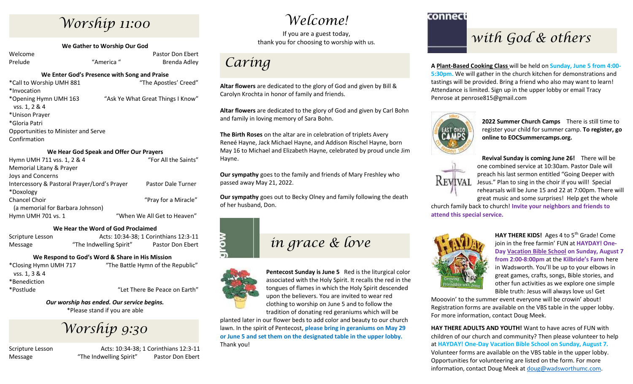# *Worship 11:00*

**We Gather to Worship Our God**

Welcome **Pastor Don Ebert** Pastor Don Ebert Prelude "America" Brenda Adley

### **We Enter God's Presence with Song and Praise**

\*Call to Worship UMH 881 "The Apostles' Creed" \*Invocation \*Opening Hymn UMH 163 "Ask Ye What Great Things I Know" vss. 1, 2 & 4 \*Unison Prayer \*Gloria Patri Opportunities to Minister and Serve Confirmation

### **We Hear God Speak and Offer Our Prayers**

| Hymn UMH 711 vss. 1, 2 & 4                   | "For All the Saints"        |
|----------------------------------------------|-----------------------------|
| Memorial Litany & Prayer                     |                             |
| Joys and Concerns                            |                             |
| Intercessory & Pastoral Prayer/Lord's Prayer | Pastor Dale Turner          |
| *Doxology                                    |                             |
| <b>Chancel Choir</b>                         | "Pray for a Miracle"        |
| (a memorial for Barbara Johnson)             |                             |
| Hymn UMH 701 vs. 1                           | "When We All Get to Heaven" |
|                                              |                             |

### **We Hear the Word of God Proclaimed**

Scripture Lesson Acts: 10:34-38; 1 Corinthians 12:3-11 Message "The Indwelling Spirit" Pastor Don Ebert

## **We Respond to God's Word & Share in His Mission**

| *Closing Hymn UMH 717 | "The Battle Hymn of the Republic" |
|-----------------------|-----------------------------------|
| vss. 1, 3 & 4         |                                   |
| *Benediction          |                                   |
| *Postlude             | "Let There Be Peace on Earth"     |
|                       |                                   |

*Our worship has ended. Our service begins.* \*Please stand if you are able

*Worship 9:30*

Scripture Lesson Acts: 10:34-38; 1 Corinthians 12:3-11 Message **The Indwelling Spirit**" Pastor Don Ebert

## *Welcome!*

If you are a guest today, thank you for choosing to worship with us.

## *Caring*

**Altar flowers** are dedicated to the glory of God and given by Bill & Carolyn Krochta in honor of family and friends.

**Altar flowers** are dedicated to the glory of God and given by Carl Bohn and family in loving memory of Sara Bohn.

**The Birth Roses** on the altar are in celebration of triplets Avery Reneé Hayne, Jack Michael Hayne, and Addison Rischel Hayne, born May 16 to Michael and Elizabeth Hayne, celebrated by proud uncle Jim Hayne.

**Our sympathy** goes to the family and friends of Mary Freshley who passed away May 21, 2022.

**Our sympathy** goes out to Becky Olney and family following the death of her husband, Don.



## *in grace & love*



**Pentecost Sunday is June 5** Red is the liturgical color associated with the Holy Spirit. It recalls the red in the tongues of flames in which the Holy Spirit descended upon the believers. You are invited to wear red clothing to worship on June 5 and to follow the tradition of donating red geraniums which will be

planted later in our flower beds to add color and beauty to our church lawn. In the spirit of Pentecost, **please bring in geraniums on May 29 or June 5 and set them on the designated table in the upper lobby.** Thank you!

connect

## *with God & others*

**A Plant-Based Cooking Class** will be held on **Sunday, June 5 from 4:00- 5:30pm.** We will gather in the church kitchen for demonstrations and tastings will be provided. Bring a friend who also may want to learn! Attendance is limited. Sign up in the upper lobby or email Tracy Penrose at penrose815@gmail.com



**2022 Summer Church Camps** There is still time to register your child for summer camp. **To register, go online to EOCSummercamps.org.**



**Revival Sunday is coming June 26!** There will be one combined service at 10:30am. Pastor Dale will preach his last sermon entitled "Going Deeper with Jesus." Plan to sing in the choir if you will! Special rehearsals will be June 15 and 22 at 7:00pm. There will great music and some surprises! Help get the whole

church family back to church! **Invite your neighbors and friends to attend this special service.**



HAY THERE KIDS! Ages 4 to 5<sup>th</sup> Grade! Come join in the free farmin' FUN at **HAYDAY! One-Day Vacation Bible School on Sunday, August 7 from 2:00-8:00pm** at the **Kilbride's Farm** here in Wadsworth. You'll be up to your elbows in great games, crafts, songs, Bible stories, and other fun activities as we explore one simple Bible truth: Jesus will always love us! Get

Mooovin' to the summer event everyone will be crowin' about! Registration forms are available on the VBS table in the upper lobby. For more information, contact Doug Meek.

**HAY THERE ADULTS AND YOUTH!** Want to have acres of FUN with children of our church and community? Then please volunteer to help at **HAYDAY! One-Day Vacation Bible School on Sunday, August 7.** Volunteer forms are available on the VBS table in the upper lobby. Opportunities for volunteering are listed on the form. For more information, contact Doug Meek at [doug@wadsworthumc.com.](mailto:doug@wadsworthumc.com)